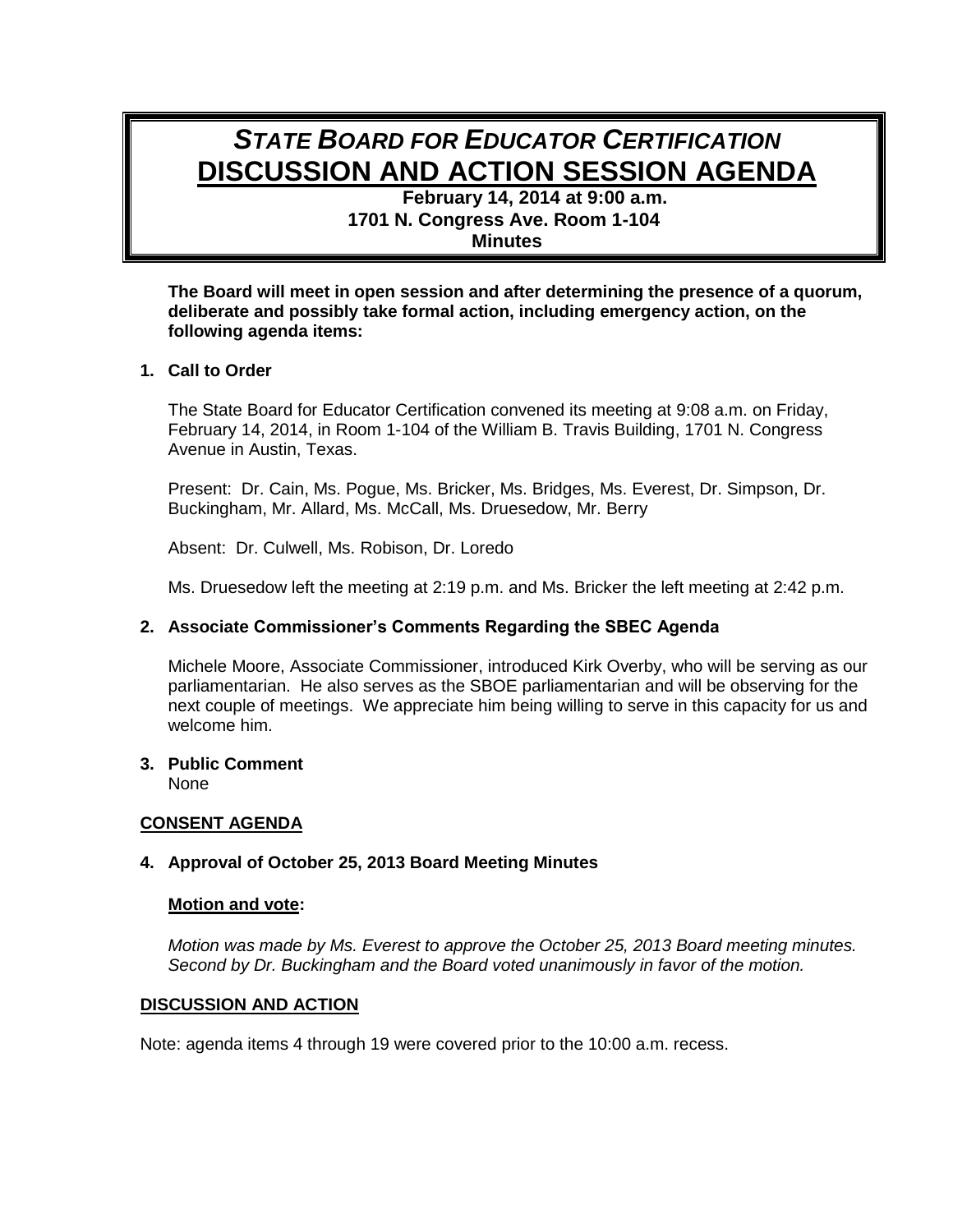# *STATE BOARD FOR EDUCATOR CERTIFICATION* **DISCUSSION AND ACTION SESSION AGENDA**

**February 14, 2014 at 9:00 a.m. 1701 N. Congress Ave. Room 1-104 Minutes**

**The Board will meet in open session and after determining the presence of a quorum, deliberate and possibly take formal action, including emergency action, on the following agenda items:**

# **1. Call to Order**

The State Board for Educator Certification convened its meeting at 9:08 a.m. on Friday, February 14, 2014, in Room 1-104 of the William B. Travis Building, 1701 N. Congress Avenue in Austin, Texas.

Present: Dr. Cain, Ms. Pogue, Ms. Bricker, Ms. Bridges, Ms. Everest, Dr. Simpson, Dr. Buckingham, Mr. Allard, Ms. McCall, Ms. Druesedow, Mr. Berry

Absent: Dr. Culwell, Ms. Robison, Dr. Loredo

Ms. Druesedow left the meeting at 2:19 p.m. and Ms. Bricker the left meeting at 2:42 p.m.

#### **2. Associate Commissioner's Comments Regarding the SBEC Agenda**

Michele Moore, Associate Commissioner, introduced Kirk Overby, who will be serving as our parliamentarian. He also serves as the SBOE parliamentarian and will be observing for the next couple of meetings. We appreciate him being willing to serve in this capacity for us and welcome him.

#### **3. Public Comment**

None

## **CONSENT AGENDA**

# **4. Approval of October 25, 2013 Board Meeting Minutes**

#### **Motion and vote:**

*Motion was made by Ms. Everest to approve the October 25, 2013 Board meeting minutes. Second by Dr. Buckingham and the Board voted unanimously in favor of the motion.*

#### **DISCUSSION AND ACTION**

Note: agenda items 4 through 19 were covered prior to the 10:00 a.m. recess.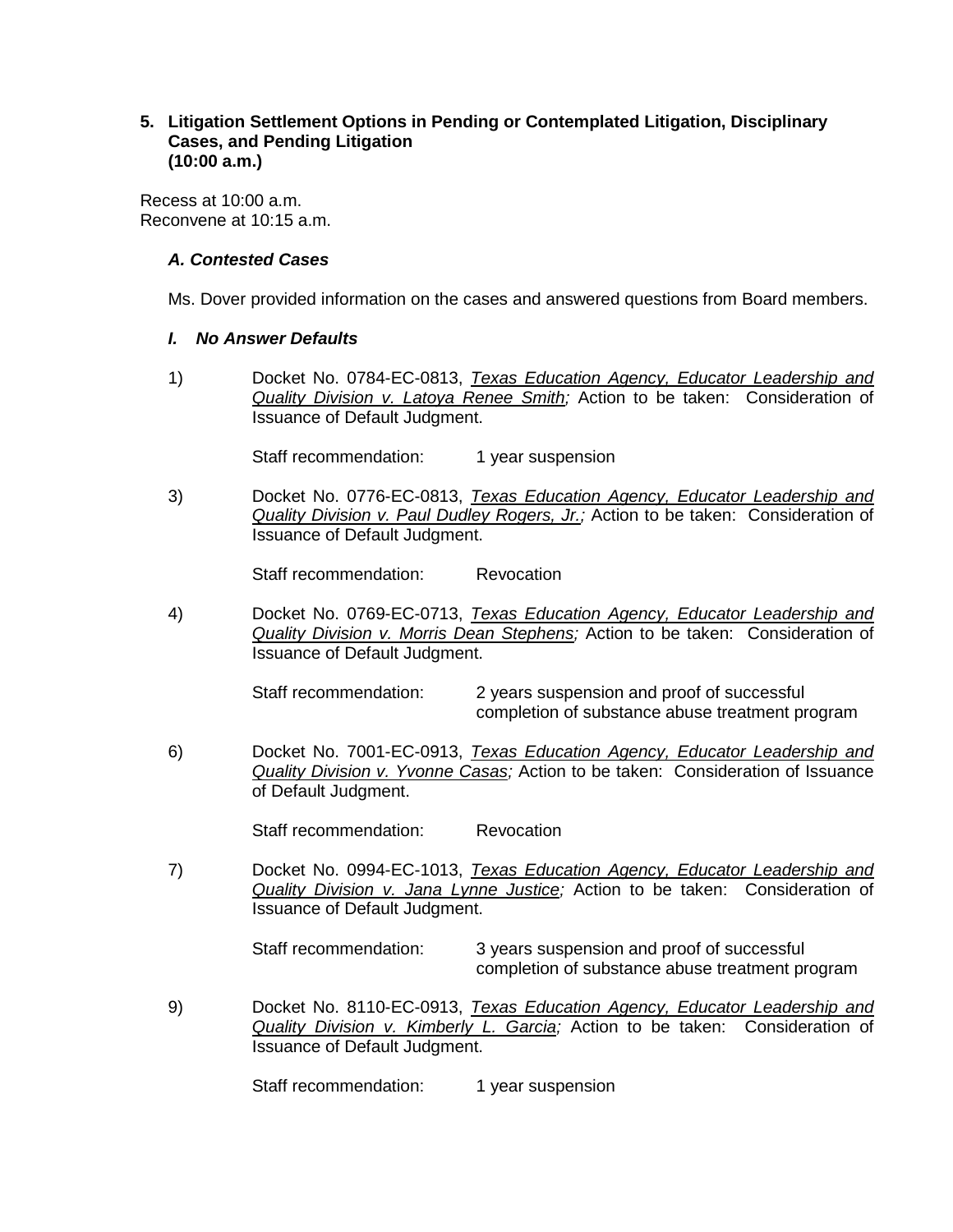## **5. Litigation Settlement Options in Pending or Contemplated Litigation, Disciplinary Cases, and Pending Litigation (10:00 a.m.)**

Recess at 10:00 a.m. Reconvene at 10:15 a.m.

## *A. Contested Cases*

Ms. Dover provided information on the cases and answered questions from Board members.

## *I. No Answer Defaults*

1) Docket No. 0784-EC-0813, *Texas Education Agency, Educator Leadership and Quality Division v. Latoya Renee Smith;* Action to be taken: Consideration of Issuance of Default Judgment.

Staff recommendation: 1 year suspension

3) Docket No. 0776-EC-0813, *Texas Education Agency, Educator Leadership and Quality Division v. Paul Dudley Rogers, Jr.;* Action to be taken: Consideration of Issuance of Default Judgment.

Staff recommendation: Revocation

4) Docket No. 0769-EC-0713, *Texas Education Agency, Educator Leadership and Quality Division v. Morris Dean Stephens;* Action to be taken: Consideration of Issuance of Default Judgment.

Staff recommendation: 2 years suspension and proof of successful completion of substance abuse treatment program

6) Docket No. 7001-EC-0913, *Texas Education Agency, Educator Leadership and Quality Division v. Yvonne Casas;* Action to be taken: Consideration of Issuance of Default Judgment.

Staff recommendation: Revocation

7) Docket No. 0994-EC-1013, *Texas Education Agency, Educator Leadership and Quality Division v. Jana Lynne Justice;* Action to be taken: Consideration of Issuance of Default Judgment.

Staff recommendation: 3 years suspension and proof of successful completion of substance abuse treatment program

9) Docket No. 8110-EC-0913, *Texas Education Agency, Educator Leadership and Quality Division v. Kimberly L. Garcia;* Action to be taken: Consideration of Issuance of Default Judgment.

Staff recommendation: 1 year suspension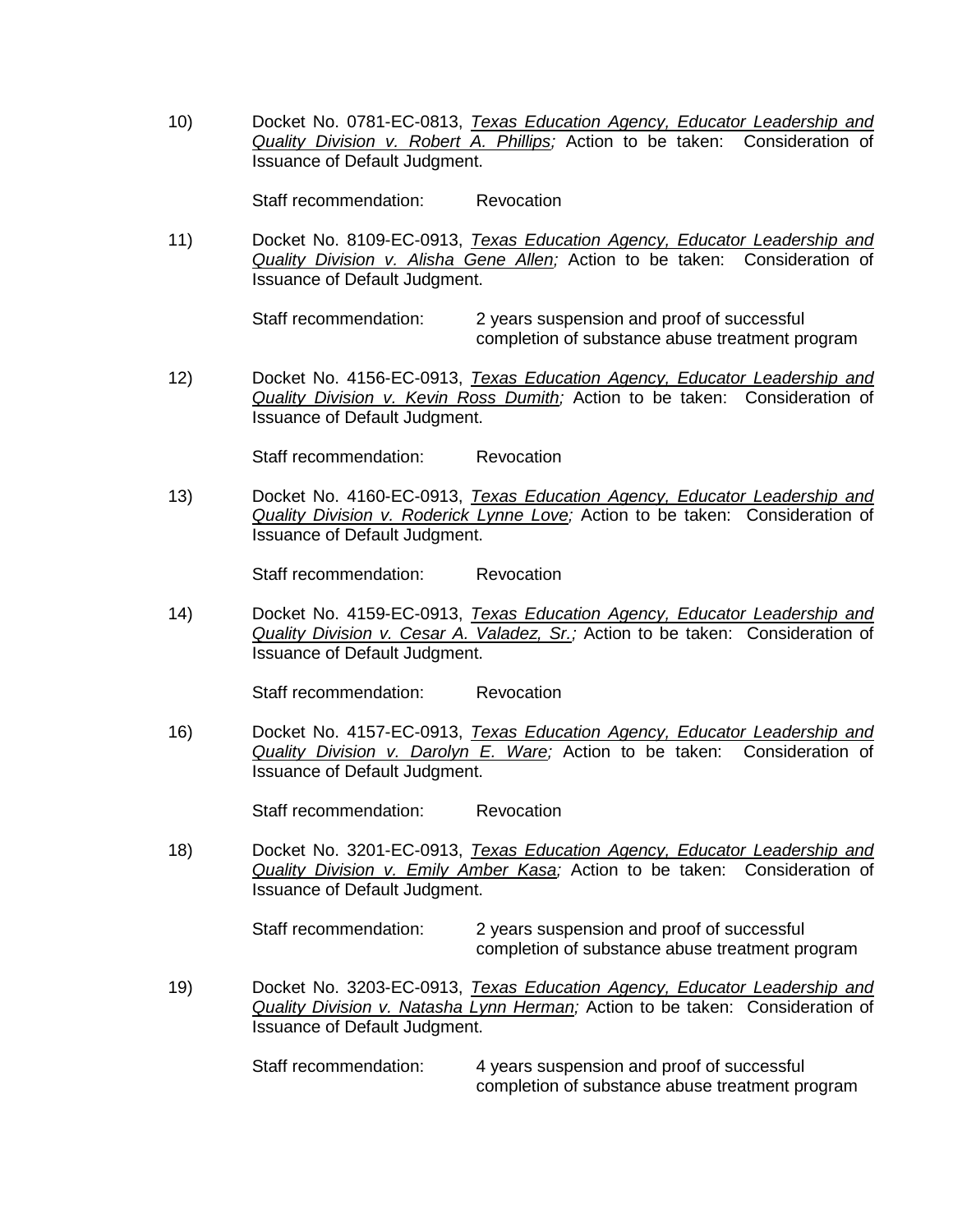10) Docket No. 0781-EC-0813, *Texas Education Agency, Educator Leadership and Quality Division v. Robert A. Phillips;* Action to be taken: Consideration of Issuance of Default Judgment.

Staff recommendation: Revocation

11) Docket No. 8109-EC-0913, *Texas Education Agency, Educator Leadership and Quality Division v. Alisha Gene Allen;* Action to be taken: Consideration of Issuance of Default Judgment.

> Staff recommendation: 2 years suspension and proof of successful completion of substance abuse treatment program

12) Docket No. 4156-EC-0913, *Texas Education Agency, Educator Leadership and Quality Division v. Kevin Ross Dumith;* Action to be taken: Consideration of Issuance of Default Judgment.

Staff recommendation: Revocation

13) Docket No. 4160-EC-0913, *Texas Education Agency, Educator Leadership and Quality Division v. Roderick Lynne Love;* Action to be taken: Consideration of Issuance of Default Judgment.

Staff recommendation: Revocation

14) Docket No. 4159-EC-0913, *Texas Education Agency, Educator Leadership and Quality Division v. Cesar A. Valadez, Sr.;* Action to be taken: Consideration of Issuance of Default Judgment.

Staff recommendation: Revocation

16) Docket No. 4157-EC-0913, *Texas Education Agency, Educator Leadership and Quality Division v. Darolyn E. Ware;* Action to be taken: Consideration of Issuance of Default Judgment.

Staff recommendation: Revocation

18) Docket No. 3201-EC-0913, *Texas Education Agency, Educator Leadership and Quality Division v. Emily Amber Kasa;* Action to be taken: Consideration of Issuance of Default Judgment.

Staff recommendation: 2 years suspension and proof of successful completion of substance abuse treatment program

19) Docket No. 3203-EC-0913, *Texas Education Agency, Educator Leadership and Quality Division v. Natasha Lynn Herman;* Action to be taken: Consideration of Issuance of Default Judgment.

> Staff recommendation: 4 years suspension and proof of successful completion of substance abuse treatment program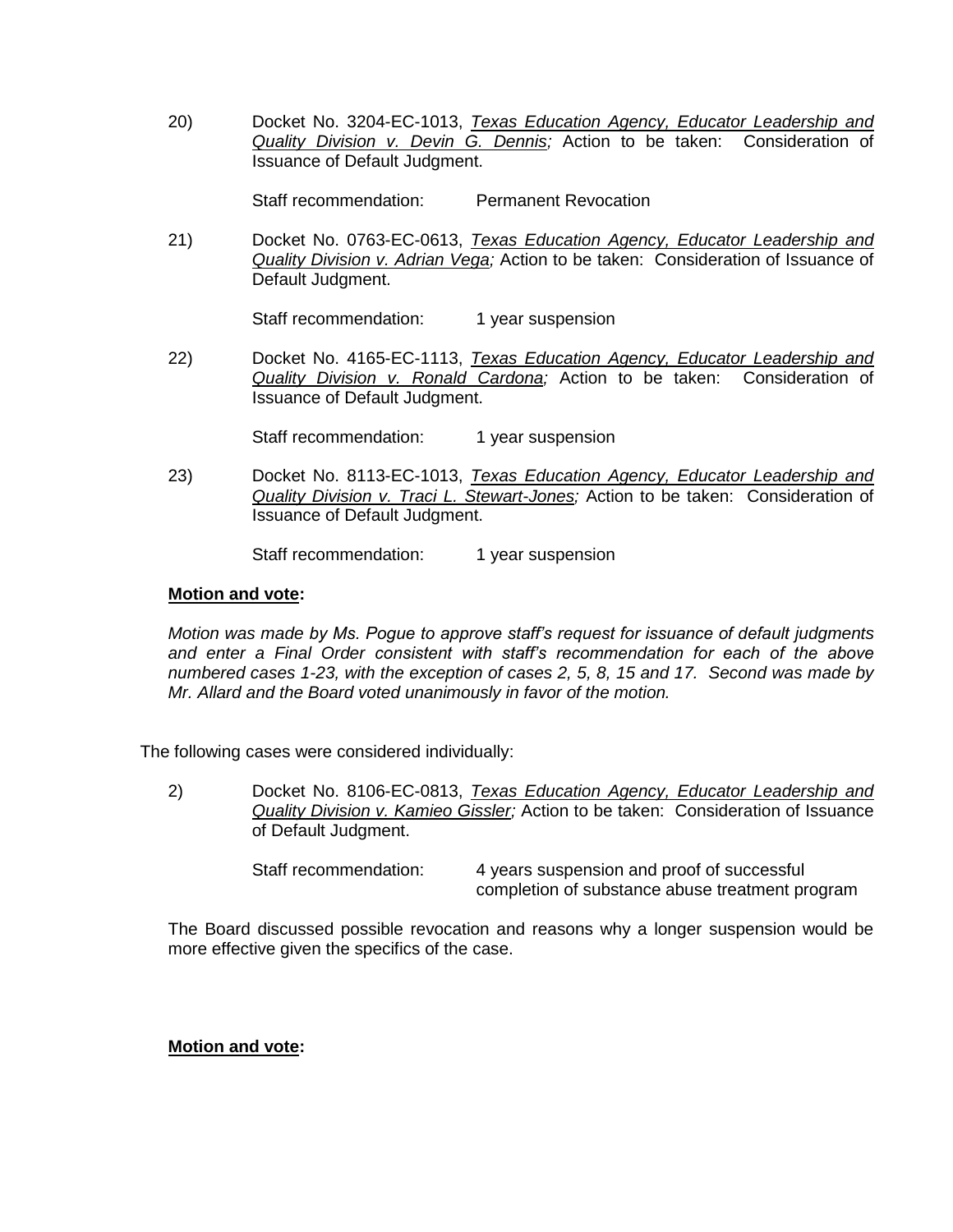20) Docket No. 3204-EC-1013, *Texas Education Agency, Educator Leadership and Quality Division v. Devin G. Dennis;* Action to be taken: Consideration of Issuance of Default Judgment.

Staff recommendation: Permanent Revocation

21) Docket No. 0763-EC-0613, *Texas Education Agency, Educator Leadership and Quality Division v. Adrian Vega;* Action to be taken: Consideration of Issuance of Default Judgment.

Staff recommendation: 1 year suspension

22) Docket No. 4165-EC-1113, *Texas Education Agency, Educator Leadership and Quality Division v. Ronald Cardona;* Action to be taken: Consideration of Issuance of Default Judgment.

Staff recommendation: 1 year suspension

23) Docket No. 8113-EC-1013, *Texas Education Agency, Educator Leadership and Quality Division v. Traci L. Stewart-Jones;* Action to be taken: Consideration of Issuance of Default Judgment.

Staff recommendation: 1 year suspension

## **Motion and vote:**

*Motion was made by Ms. Pogue to approve staff's request for issuance of default judgments and enter a Final Order consistent with staff's recommendation for each of the above numbered cases 1-23, with the exception of cases 2, 5, 8, 15 and 17. Second was made by Mr. Allard and the Board voted unanimously in favor of the motion.*

The following cases were considered individually:

2) Docket No. 8106-EC-0813, *Texas Education Agency, Educator Leadership and Quality Division v. Kamieo Gissler;* Action to be taken: Consideration of Issuance of Default Judgment.

> Staff recommendation: 4 years suspension and proof of successful completion of substance abuse treatment program

The Board discussed possible revocation and reasons why a longer suspension would be more effective given the specifics of the case.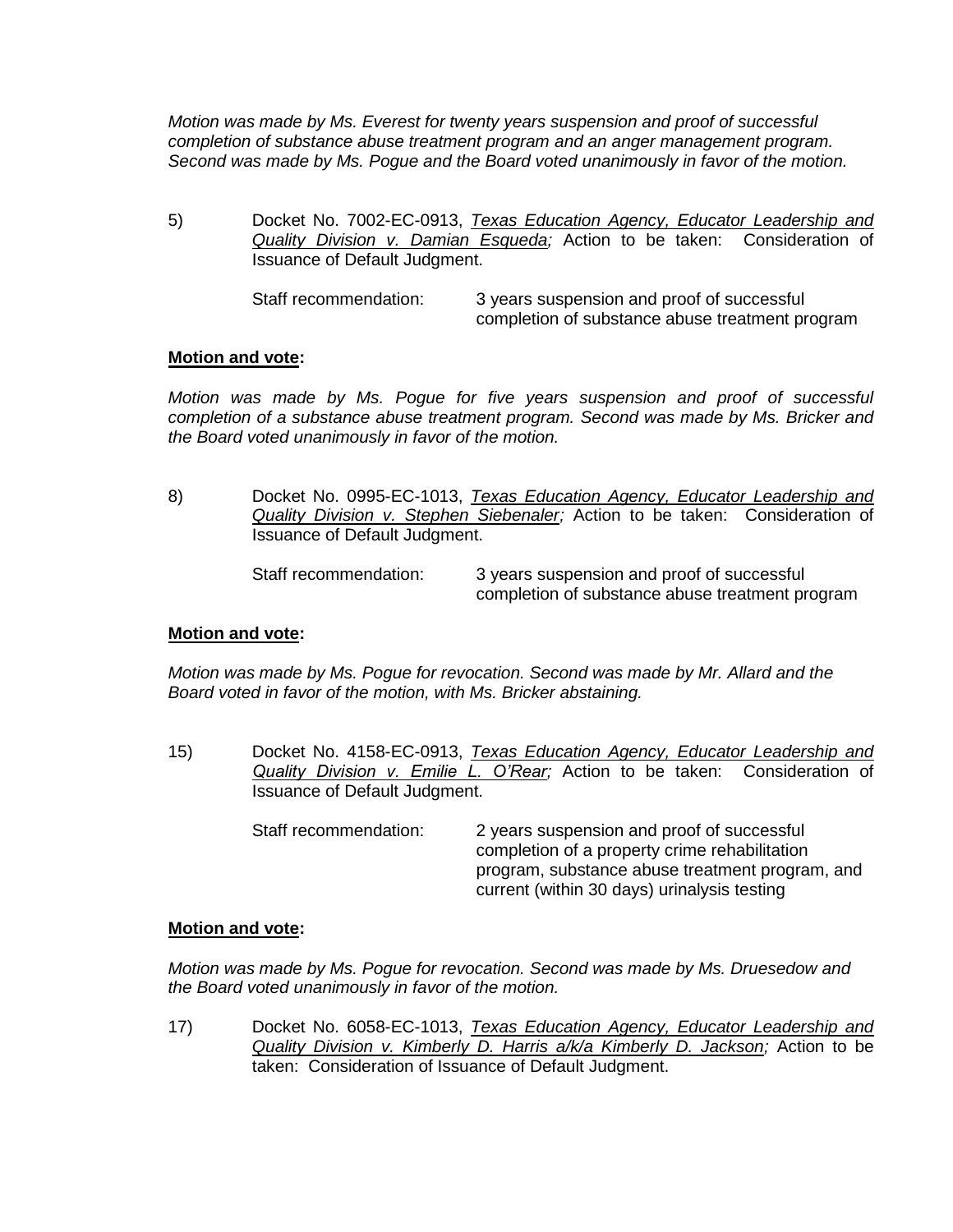*Motion was made by Ms. Everest for twenty years suspension and proof of successful completion of substance abuse treatment program and an anger management program. Second was made by Ms. Pogue and the Board voted unanimously in favor of the motion.*

5) Docket No. 7002-EC-0913, *Texas Education Agency, Educator Leadership and Quality Division v. Damian Esqueda;* Action to be taken: Consideration of Issuance of Default Judgment.

> Staff recommendation: 3 years suspension and proof of successful completion of substance abuse treatment program

## **Motion and vote:**

*Motion was made by Ms. Pogue for five years suspension and proof of successful completion of a substance abuse treatment program. Second was made by Ms. Bricker and the Board voted unanimously in favor of the motion.*

8) Docket No. 0995-EC-1013, *Texas Education Agency, Educator Leadership and Quality Division v. Stephen Siebenaler;* Action to be taken: Consideration of Issuance of Default Judgment.

| Staff recommendation: | 3 years suspension and proof of successful      |
|-----------------------|-------------------------------------------------|
|                       | completion of substance abuse treatment program |

# **Motion and vote:**

*Motion was made by Ms. Pogue for revocation. Second was made by Mr. Allard and the Board voted in favor of the motion, with Ms. Bricker abstaining.*

- 15) Docket No. 4158-EC-0913, *Texas Education Agency, Educator Leadership and Quality Division v. Emilie L. O'Rear;* Action to be taken: Consideration of Issuance of Default Judgment.
	- Staff recommendation: 2 years suspension and proof of successful completion of a property crime rehabilitation program, substance abuse treatment program, and current (within 30 days) urinalysis testing

#### **Motion and vote:**

*Motion was made by Ms. Pogue for revocation. Second was made by Ms. Druesedow and the Board voted unanimously in favor of the motion.*

17) Docket No. 6058-EC-1013, *Texas Education Agency, Educator Leadership and Quality Division v. Kimberly D. Harris a/k/a Kimberly D. Jackson;* Action to be taken: Consideration of Issuance of Default Judgment.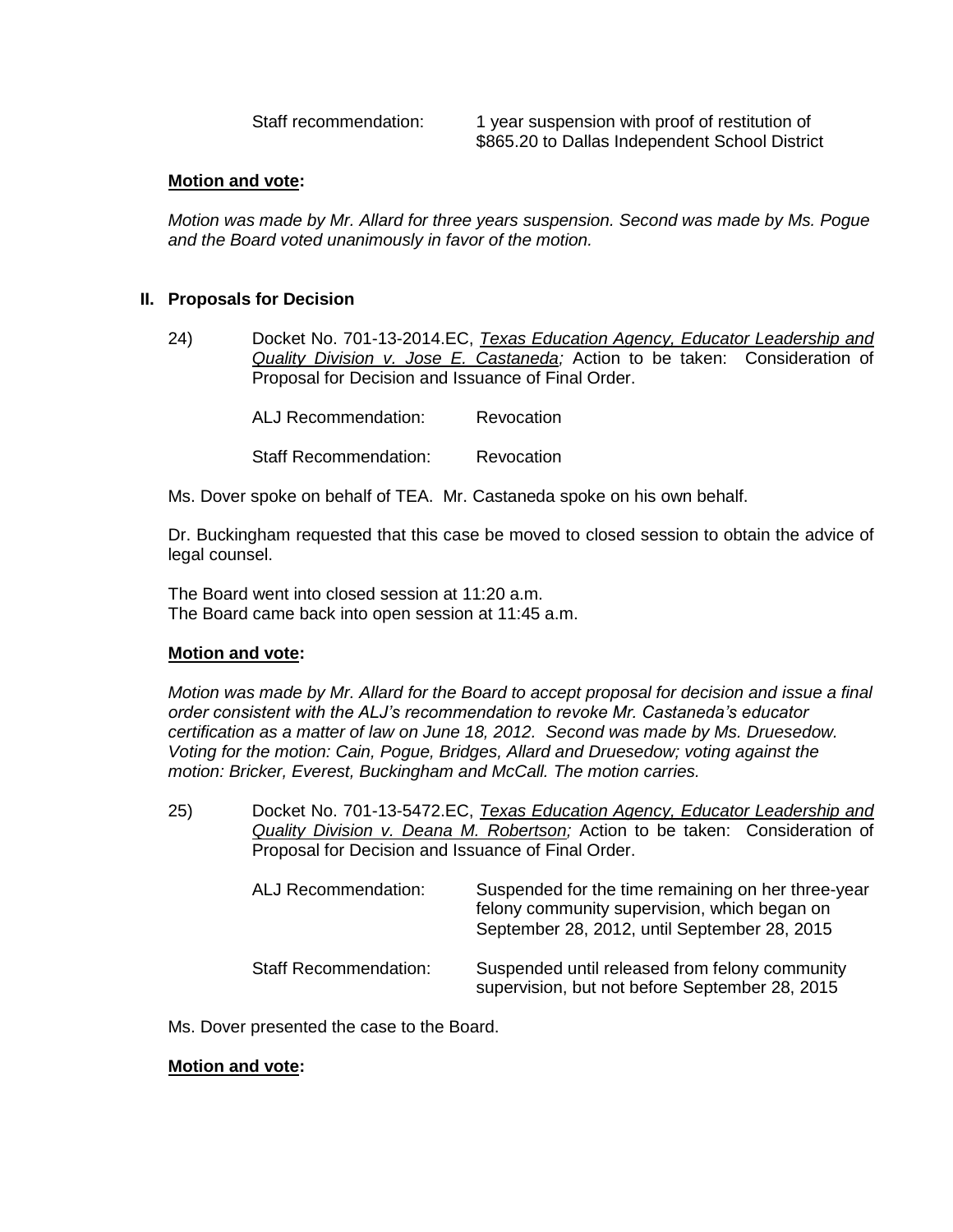Staff recommendation: 1 year suspension with proof of restitution of \$865.20 to Dallas Independent School District

## **Motion and vote:**

*Motion was made by Mr. Allard for three years suspension. Second was made by Ms. Pogue and the Board voted unanimously in favor of the motion.*

## **II. Proposals for Decision**

24) Docket No. 701-13-2014.EC, *Texas Education Agency, Educator Leadership and Quality Division v. Jose E. Castaneda;* Action to be taken: Consideration of Proposal for Decision and Issuance of Final Order.

ALJ Recommendation: Revocation

Staff Recommendation: Revocation

Ms. Dover spoke on behalf of TEA. Mr. Castaneda spoke on his own behalf.

Dr. Buckingham requested that this case be moved to closed session to obtain the advice of legal counsel.

The Board went into closed session at 11:20 a.m. The Board came back into open session at 11:45 a.m.

#### **Motion and vote:**

*Motion was made by Mr. Allard for the Board to accept proposal for decision and issue a final order consistent with the ALJ's recommendation to revoke Mr. Castaneda's educator certification as a matter of law on June 18, 2012. Second was made by Ms. Druesedow. Voting for the motion: Cain, Pogue, Bridges, Allard and Druesedow; voting against the motion: Bricker, Everest, Buckingham and McCall. The motion carries.*

25) Docket No. 701-13-5472.EC, *Texas Education Agency, Educator Leadership and Quality Division v. Deana M. Robertson;* Action to be taken: Consideration of Proposal for Decision and Issuance of Final Order.

| ALJ Recommendation:          | Suspended for the time remaining on her three-year<br>felony community supervision, which began on<br>September 28, 2012, until September 28, 2015 |
|------------------------------|----------------------------------------------------------------------------------------------------------------------------------------------------|
| <b>Staff Recommendation:</b> | Suspended until released from felony community<br>supervision, but not before September 28, 2015                                                   |

Ms. Dover presented the case to the Board.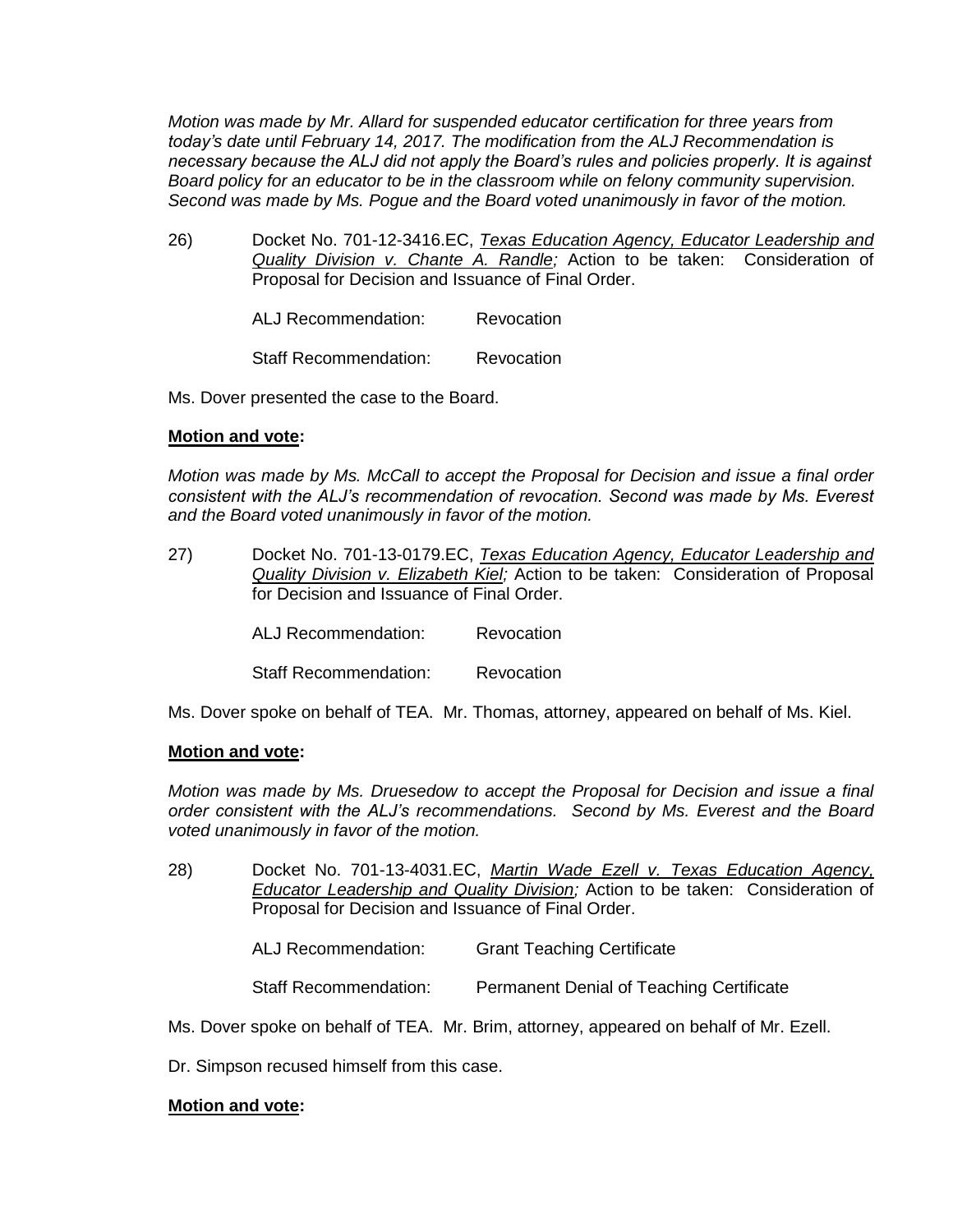*Motion was made by Mr. Allard for suspended educator certification for three years from today's date until February 14, 2017. The modification from the ALJ Recommendation is necessary because the ALJ did not apply the Board's rules and policies properly. It is against Board policy for an educator to be in the classroom while on felony community supervision. Second was made by Ms. Pogue and the Board voted unanimously in favor of the motion.*

26) Docket No. 701-12-3416.EC, *Texas Education Agency, Educator Leadership and Quality Division v. Chante A. Randle;* Action to be taken: Consideration of Proposal for Decision and Issuance of Final Order.

ALJ Recommendation: Revocation

Staff Recommendation: Revocation

Ms. Dover presented the case to the Board.

## **Motion and vote:**

*Motion was made by Ms. McCall to accept the Proposal for Decision and issue a final order consistent with the ALJ's recommendation of revocation. Second was made by Ms. Everest and the Board voted unanimously in favor of the motion.*

27) Docket No. 701-13-0179.EC, *Texas Education Agency, Educator Leadership and Quality Division v. Elizabeth Kiel;* Action to be taken: Consideration of Proposal for Decision and Issuance of Final Order.

ALJ Recommendation: Revocation

Staff Recommendation: Revocation

Ms. Dover spoke on behalf of TEA. Mr. Thomas, attorney, appeared on behalf of Ms. Kiel.

#### **Motion and vote:**

*Motion was made by Ms. Druesedow to accept the Proposal for Decision and issue a final order consistent with the ALJ's recommendations. Second by Ms. Everest and the Board voted unanimously in favor of the motion.*

- 28) Docket No. 701-13-4031.EC, *Martin Wade Ezell v. Texas Education Agency, Educator Leadership and Quality Division;* Action to be taken: Consideration of Proposal for Decision and Issuance of Final Order.
	- ALJ Recommendation: Grant Teaching Certificate

Staff Recommendation: Permanent Denial of Teaching Certificate

Ms. Dover spoke on behalf of TEA. Mr. Brim, attorney, appeared on behalf of Mr. Ezell.

Dr. Simpson recused himself from this case.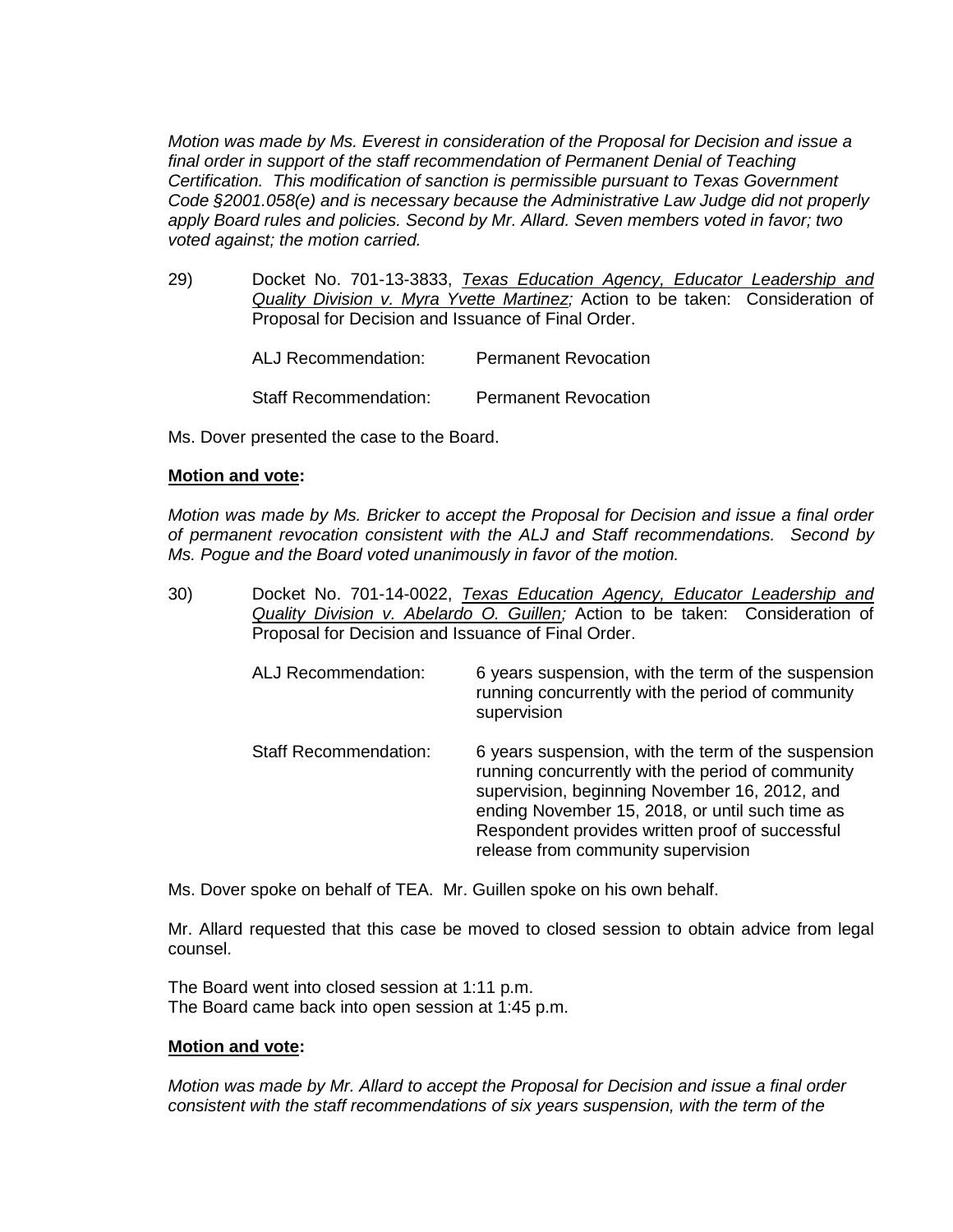*Motion was made by Ms. Everest in consideration of the Proposal for Decision and issue a final order in support of the staff recommendation of Permanent Denial of Teaching Certification. This modification of sanction is permissible pursuant to Texas Government Code §2001.058(e) and is necessary because the Administrative Law Judge did not properly apply Board rules and policies. Second by Mr. Allard. Seven members voted in favor; two voted against; the motion carried.*

29) Docket No. 701-13-3833, *Texas Education Agency, Educator Leadership and Quality Division v. Myra Yvette Martinez;* Action to be taken: Consideration of Proposal for Decision and Issuance of Final Order.

| ALJ Recommendation:          | <b>Permanent Revocation</b> |
|------------------------------|-----------------------------|
| <b>Staff Recommendation:</b> | <b>Permanent Revocation</b> |

Ms. Dover presented the case to the Board.

## **Motion and vote:**

*Motion was made by Ms. Bricker to accept the Proposal for Decision and issue a final order of permanent revocation consistent with the ALJ and Staff recommendations. Second by Ms. Pogue and the Board voted unanimously in favor of the motion.*

30) Docket No. 701-14-0022, *Texas Education Agency, Educator Leadership and Quality Division v. Abelardo O. Guillen;* Action to be taken: Consideration of Proposal for Decision and Issuance of Final Order.

| <b>ALJ Recommendation:</b>   | 6 years suspension, with the term of the suspension<br>running concurrently with the period of community<br>supervision                                                                                                                                                                               |
|------------------------------|-------------------------------------------------------------------------------------------------------------------------------------------------------------------------------------------------------------------------------------------------------------------------------------------------------|
| <b>Staff Recommendation:</b> | 6 years suspension, with the term of the suspension<br>running concurrently with the period of community<br>supervision, beginning November 16, 2012, and<br>ending November 15, 2018, or until such time as<br>Respondent provides written proof of successful<br>release from community supervision |

Ms. Dover spoke on behalf of TEA. Mr. Guillen spoke on his own behalf.

Mr. Allard requested that this case be moved to closed session to obtain advice from legal counsel.

The Board went into closed session at 1:11 p.m. The Board came back into open session at 1:45 p.m.

# **Motion and vote:**

*Motion was made by Mr. Allard to accept the Proposal for Decision and issue a final order consistent with the staff recommendations of six years suspension, with the term of the*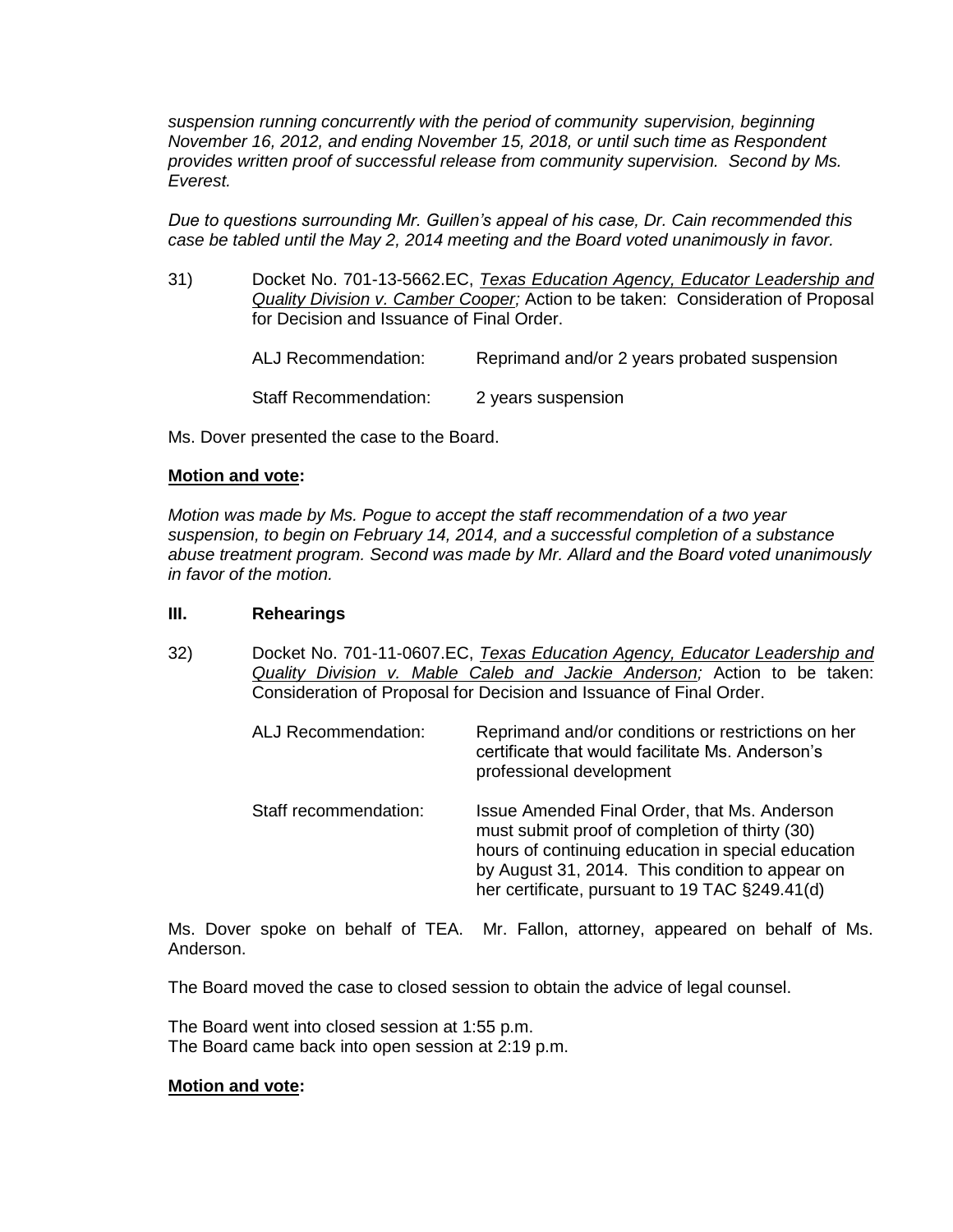*suspension running concurrently with the period of community supervision, beginning November 16, 2012, and ending November 15, 2018, or until such time as Respondent provides written proof of successful release from community supervision. Second by Ms. Everest.* 

*Due to questions surrounding Mr. Guillen's appeal of his case, Dr. Cain recommended this case be tabled until the May 2, 2014 meeting and the Board voted unanimously in favor.*

31) Docket No. 701-13-5662.EC, *Texas Education Agency, Educator Leadership and Quality Division v. Camber Cooper;* Action to be taken: Consideration of Proposal for Decision and Issuance of Final Order.

> ALJ Recommendation: Reprimand and/or 2 years probated suspension Staff Recommendation: 2 years suspension

Ms. Dover presented the case to the Board.

## **Motion and vote:**

*Motion was made by Ms. Pogue to accept the staff recommendation of a two year suspension, to begin on February 14, 2014, and a successful completion of a substance abuse treatment program. Second was made by Mr. Allard and the Board voted unanimously in favor of the motion.*

## **III. Rehearings**

32) Docket No. 701-11-0607.EC, *Texas Education Agency, Educator Leadership and Quality Division v. Mable Caleb and Jackie Anderson;* Action to be taken: Consideration of Proposal for Decision and Issuance of Final Order.

| <b>ALJ Recommendation:</b> | Reprimand and/or conditions or restrictions on her<br>certificate that would facilitate Ms. Anderson's<br>professional development                                                                                                                        |
|----------------------------|-----------------------------------------------------------------------------------------------------------------------------------------------------------------------------------------------------------------------------------------------------------|
| Staff recommendation:      | Issue Amended Final Order, that Ms. Anderson<br>must submit proof of completion of thirty (30)<br>hours of continuing education in special education<br>by August 31, 2014. This condition to appear on<br>her certificate, pursuant to 19 TAC §249.41(d) |

Ms. Dover spoke on behalf of TEA. Mr. Fallon, attorney, appeared on behalf of Ms. Anderson.

The Board moved the case to closed session to obtain the advice of legal counsel.

The Board went into closed session at 1:55 p.m. The Board came back into open session at 2:19 p.m.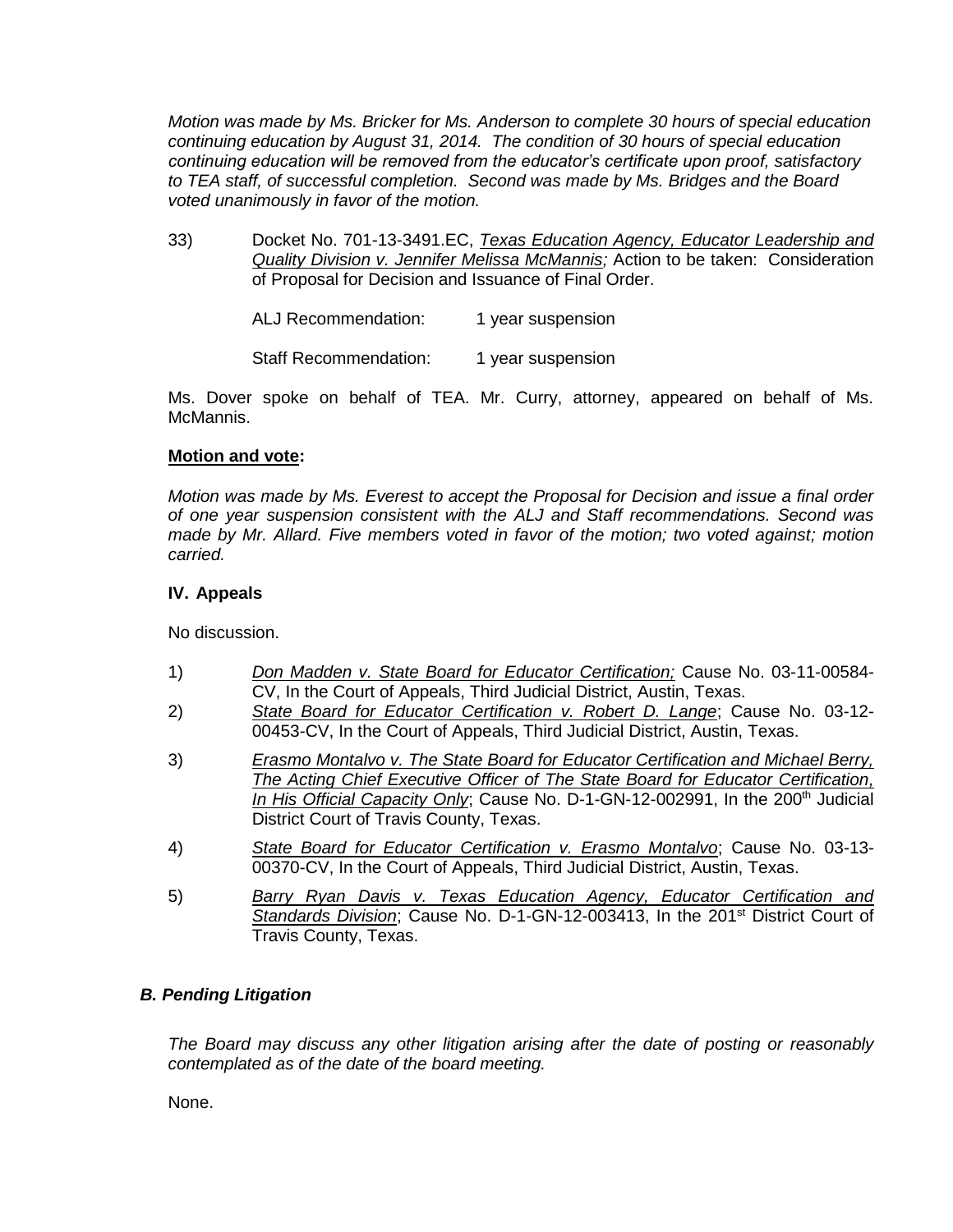*Motion was made by Ms. Bricker for Ms. Anderson to complete 30 hours of special education continuing education by August 31, 2014. The condition of 30 hours of special education continuing education will be removed from the educator's certificate upon proof, satisfactory to TEA staff, of successful completion. Second was made by Ms. Bridges and the Board voted unanimously in favor of the motion.*

33) Docket No. 701-13-3491.EC, *Texas Education Agency, Educator Leadership and Quality Division v. Jennifer Melissa McMannis;* Action to be taken: Consideration of Proposal for Decision and Issuance of Final Order.

ALJ Recommendation: 1 year suspension

Staff Recommendation: 1 year suspension

Ms. Dover spoke on behalf of TEA. Mr. Curry, attorney, appeared on behalf of Ms. McMannis.

# **Motion and vote:**

*Motion was made by Ms. Everest to accept the Proposal for Decision and issue a final order of one year suspension consistent with the ALJ and Staff recommendations. Second was made by Mr. Allard. Five members voted in favor of the motion; two voted against; motion carried.*

# **IV. Appeals**

No discussion.

- 1) *Don Madden v. State Board for Educator Certification;* Cause No. 03-11-00584- CV, In the Court of Appeals, Third Judicial District, Austin, Texas.
- 2) *State Board for Educator Certification v. Robert D. Lange*; Cause No. 03-12- 00453-CV, In the Court of Appeals, Third Judicial District, Austin, Texas.
- 3) *Erasmo Montalvo v. The State Board for Educator Certification and Michael Berry, The Acting Chief Executive Officer of The State Board for Educator Certification, In His Official Capacity Only*; Cause No. D-1-GN-12-002991, In the 200<sup>th</sup> Judicial District Court of Travis County, Texas.
- 4) *State Board for Educator Certification v. Erasmo Montalvo*; Cause No. 03-13- 00370-CV, In the Court of Appeals, Third Judicial District, Austin, Texas.
- 5) *Barry Ryan Davis v. Texas Education Agency, Educator Certification and* Standards Division; Cause No. D-1-GN-12-003413, In the 201<sup>st</sup> District Court of Travis County, Texas.

# *B. Pending Litigation*

*The Board may discuss any other litigation arising after the date of posting or reasonably contemplated as of the date of the board meeting.*

None.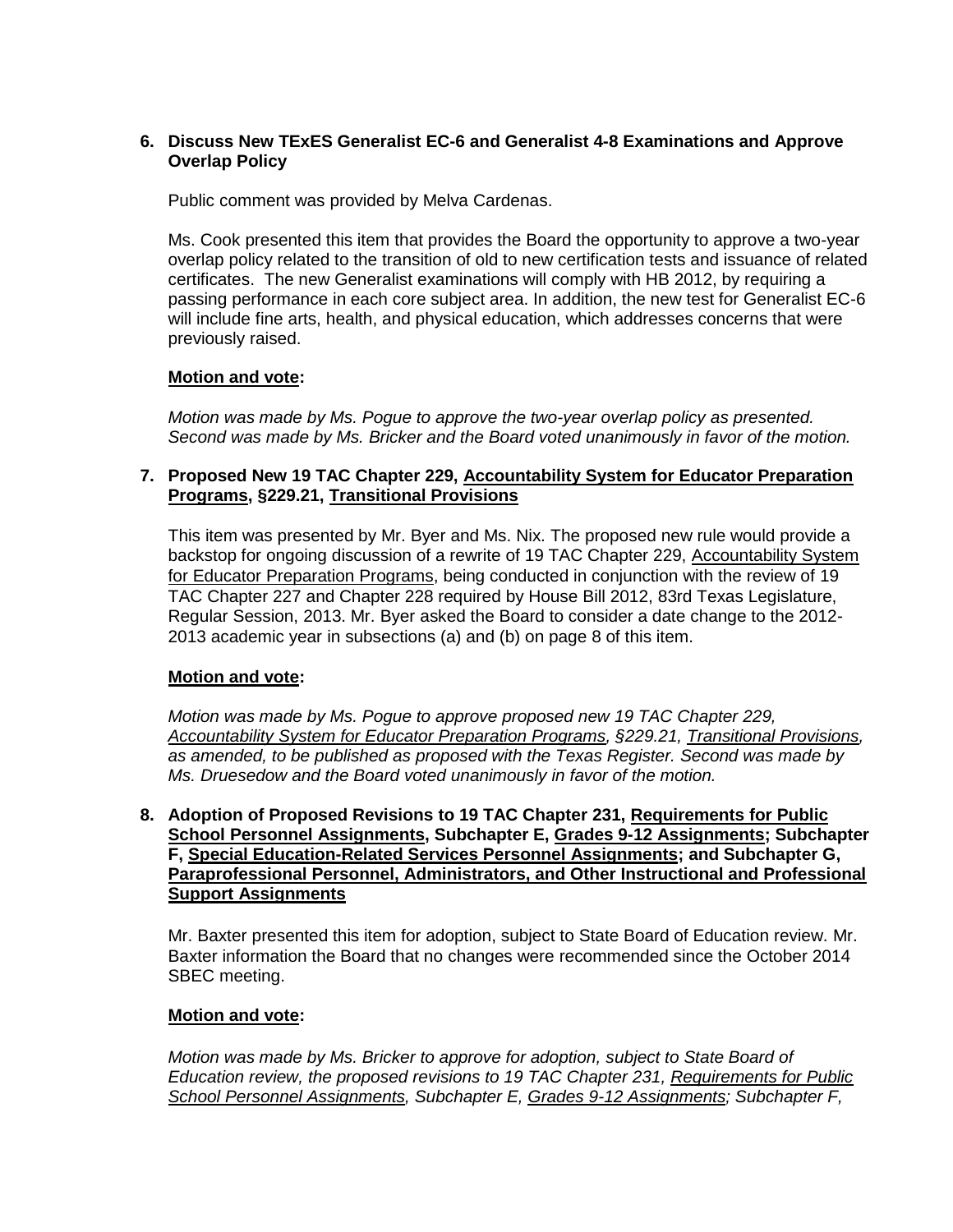# **6. Discuss New TExES Generalist EC-6 and Generalist 4-8 Examinations and Approve Overlap Policy**

Public comment was provided by Melva Cardenas.

Ms. Cook presented this item that provides the Board the opportunity to approve a two-year overlap policy related to the transition of old to new certification tests and issuance of related certificates. The new Generalist examinations will comply with HB 2012, by requiring a passing performance in each core subject area. In addition, the new test for Generalist EC-6 will include fine arts, health, and physical education, which addresses concerns that were previously raised.

## **Motion and vote:**

*Motion was made by Ms. Pogue to approve the two-year overlap policy as presented. Second was made by Ms. Bricker and the Board voted unanimously in favor of the motion.*

# **7. Proposed New 19 TAC Chapter 229, Accountability System for Educator Preparation Programs, §229.21, Transitional Provisions**

This item was presented by Mr. Byer and Ms. Nix. The proposed new rule would provide a backstop for ongoing discussion of a rewrite of 19 TAC Chapter 229, Accountability System for Educator Preparation Programs, being conducted in conjunction with the review of 19 TAC Chapter 227 and Chapter 228 required by House Bill 2012, 83rd Texas Legislature, Regular Session, 2013. Mr. Byer asked the Board to consider a date change to the 2012- 2013 academic year in subsections (a) and (b) on page 8 of this item.

# **Motion and vote:**

*Motion was made by Ms. Pogue to approve proposed new 19 TAC Chapter 229, Accountability System for Educator Preparation Programs, §229.21, Transitional Provisions, as amended, to be published as proposed with the Texas Register. Second was made by Ms. Druesedow and the Board voted unanimously in favor of the motion.*

## **8. Adoption of Proposed Revisions to 19 TAC Chapter 231, Requirements for Public School Personnel Assignments, Subchapter E, Grades 9-12 Assignments; Subchapter F, Special Education-Related Services Personnel Assignments; and Subchapter G, Paraprofessional Personnel, Administrators, and Other Instructional and Professional Support Assignments**

Mr. Baxter presented this item for adoption, subject to State Board of Education review. Mr. Baxter information the Board that no changes were recommended since the October 2014 SBEC meeting.

#### **Motion and vote:**

*Motion was made by Ms. Bricker to approve for adoption, subject to State Board of Education review, the proposed revisions to 19 TAC Chapter 231, Requirements for Public School Personnel Assignments, Subchapter E, Grades 9-12 Assignments; Subchapter F,*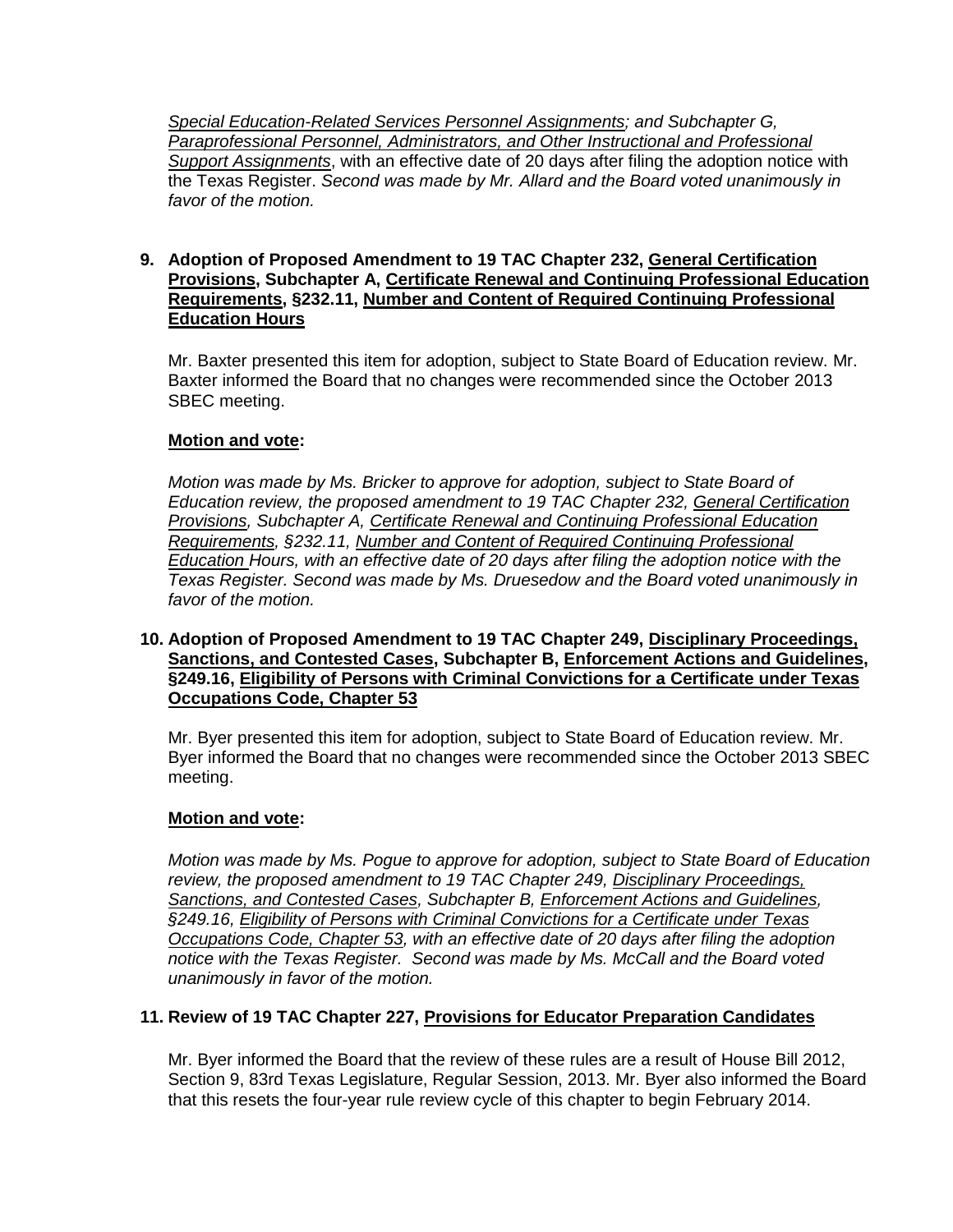*Special Education-Related Services Personnel Assignments; and Subchapter G, Paraprofessional Personnel, Administrators, and Other Instructional and Professional Support Assignments*, with an effective date of 20 days after filing the adoption notice with the Texas Register. *Second was made by Mr. Allard and the Board voted unanimously in favor of the motion.*

## **9. Adoption of Proposed Amendment to 19 TAC Chapter 232, General Certification Provisions, Subchapter A, Certificate Renewal and Continuing Professional Education Requirements, §232.11, Number and Content of Required Continuing Professional Education Hours**

Mr. Baxter presented this item for adoption, subject to State Board of Education review. Mr. Baxter informed the Board that no changes were recommended since the October 2013 SBEC meeting.

# **Motion and vote:**

*Motion was made by Ms. Bricker to approve for adoption, subject to State Board of Education review, the proposed amendment to 19 TAC Chapter 232, General Certification Provisions, Subchapter A, Certificate Renewal and Continuing Professional Education Requirements, §232.11, Number and Content of Required Continuing Professional Education Hours, with an effective date of 20 days after filing the adoption notice with the Texas Register. Second was made by Ms. Druesedow and the Board voted unanimously in favor of the motion.*

## **10. Adoption of Proposed Amendment to 19 TAC Chapter 249, Disciplinary Proceedings, Sanctions, and Contested Cases, Subchapter B, Enforcement Actions and Guidelines, §249.16, Eligibility of Persons with Criminal Convictions for a Certificate under Texas Occupations Code, Chapter 53**

Mr. Byer presented this item for adoption, subject to State Board of Education review. Mr. Byer informed the Board that no changes were recommended since the October 2013 SBEC meeting.

# **Motion and vote:**

*Motion was made by Ms. Pogue to approve for adoption, subject to State Board of Education review, the proposed amendment to 19 TAC Chapter 249, Disciplinary Proceedings, Sanctions, and Contested Cases, Subchapter B, Enforcement Actions and Guidelines, §249.16, Eligibility of Persons with Criminal Convictions for a Certificate under Texas Occupations Code, Chapter 53, with an effective date of 20 days after filing the adoption notice with the Texas Register. Second was made by Ms. McCall and the Board voted unanimously in favor of the motion.*

# **11. Review of 19 TAC Chapter 227, Provisions for Educator Preparation Candidates**

Mr. Byer informed the Board that the review of these rules are a result of House Bill 2012, Section 9, 83rd Texas Legislature, Regular Session, 2013. Mr. Byer also informed the Board that this resets the four-year rule review cycle of this chapter to begin February 2014.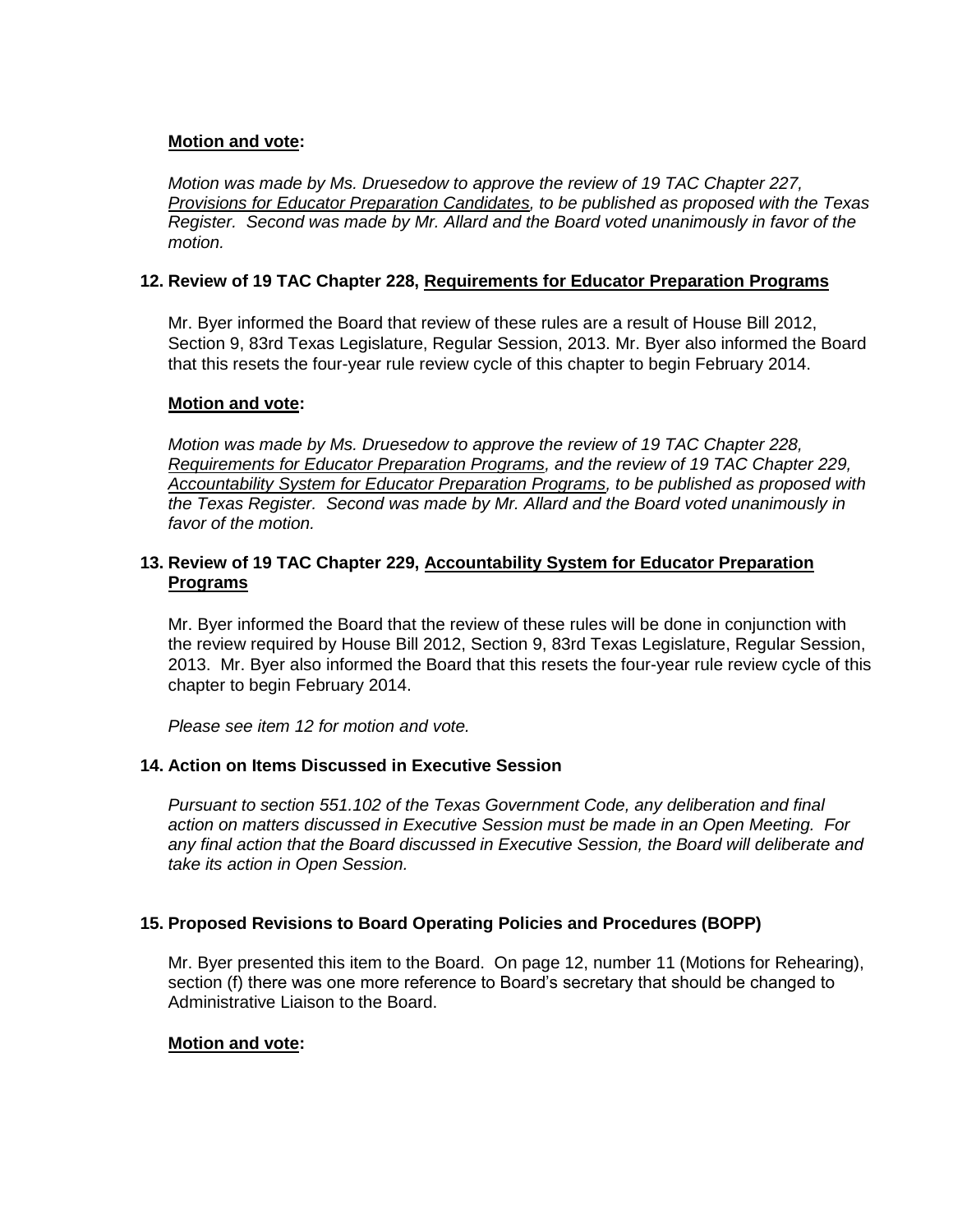# **Motion and vote:**

*Motion was made by Ms. Druesedow to approve the review of 19 TAC Chapter 227, Provisions for Educator Preparation Candidates, to be published as proposed with the Texas Register. Second was made by Mr. Allard and the Board voted unanimously in favor of the motion.*

# **12. Review of 19 TAC Chapter 228, Requirements for Educator Preparation Programs**

Mr. Byer informed the Board that review of these rules are a result of House Bill 2012, Section 9, 83rd Texas Legislature, Regular Session, 2013. Mr. Byer also informed the Board that this resets the four-year rule review cycle of this chapter to begin February 2014.

# **Motion and vote:**

*Motion was made by Ms. Druesedow to approve the review of 19 TAC Chapter 228, Requirements for Educator Preparation Programs, and the review of 19 TAC Chapter 229, Accountability System for Educator Preparation Programs, to be published as proposed with the Texas Register. Second was made by Mr. Allard and the Board voted unanimously in favor of the motion.*

## **13. Review of 19 TAC Chapter 229, Accountability System for Educator Preparation Programs**

Mr. Byer informed the Board that the review of these rules will be done in conjunction with the review required by House Bill 2012, Section 9, 83rd Texas Legislature, Regular Session, 2013. Mr. Byer also informed the Board that this resets the four-year rule review cycle of this chapter to begin February 2014.

*Please see item 12 for motion and vote.*

# **14. Action on Items Discussed in Executive Session**

*Pursuant to section 551.102 of the Texas Government Code, any deliberation and final action on matters discussed in Executive Session must be made in an Open Meeting. For any final action that the Board discussed in Executive Session, the Board will deliberate and take its action in Open Session.*

# **15. Proposed Revisions to Board Operating Policies and Procedures (BOPP)**

Mr. Byer presented this item to the Board. On page 12, number 11 (Motions for Rehearing), section (f) there was one more reference to Board's secretary that should be changed to Administrative Liaison to the Board.